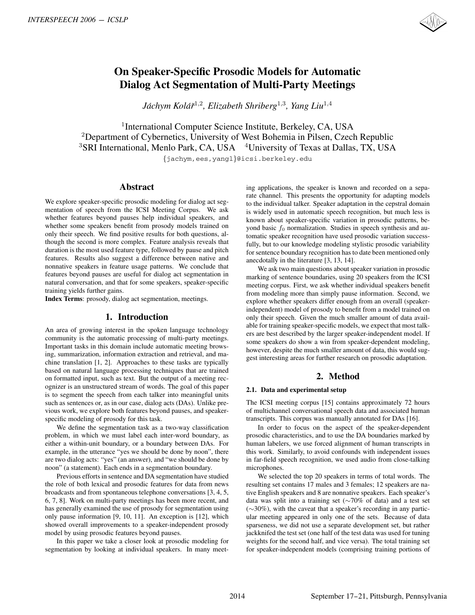

# **On Speaker-Specific Prosodic Models for Automatic Dialog Act Segmentation of Multi-Party Meetings**

*Jachym Kol ´ a´rˇ* <sup>1</sup>,<sup>2</sup>*, Elizabeth Shriberg*<sup>1</sup>,<sup>3</sup>*, Yang Liu*<sup>1</sup>,<sup>4</sup>

<sup>1</sup>International Computer Science Institute, Berkeley, CA, USA <sup>2</sup>Department of Cybernetics, University of West Bohemia in Pilsen, Czech Republic  $3$ SRI International, Menlo Park, CA, USA  $4$ University of Texas at Dallas, TX, USA {jachym,ees,yangl}@icsi.berkeley.edu

### **Abstract**

We explore speaker-specific prosodic modeling for dialog act segmentation of speech from the ICSI Meeting Corpus. We ask whether features beyond pauses help individual speakers, and whether some speakers benefit from prosody models trained on only their speech. We find positive results for both questions, although the second is more complex. Feature analysis reveals that duration is the most used feature type, followed by pause and pitch features. Results also suggest a difference between native and nonnative speakers in feature usage patterns. We conclude that features beyond pauses are useful for dialog act segmentation in natural conversation, and that for some speakers, speaker-specific training yields further gains. **2017** ASSEE (2013 - ICSLP<br>
2016 - ICSLP Active 2-2016 - Proposition of Multi-Party Methias <br>
2016 - May and Active 2-2016 - May and Active 2-2016 - May and Active 2-2016 - May and Active 2-2016 - May and Active 2-2016 -

**Index Terms**: prosody, dialog act segmentation, meetings.

# **1. Introduction**

An area of growing interest in the spoken language technology community is the automatic processing of multi-party meetings. Important tasks in this domain include automatic meeting browsing, summarization, information extraction and retrieval, and machine translation [1, 2]. Approaches to these tasks are typically based on natural language processing techniques that are trained on formatted input, such as text. But the output of a meeting recognizer is an unstructured stream of words. The goal of this paper is to segment the speech from each talker into meaningful units such as sentences or, as in our case, dialog acts (DAs). Unlike previous work, we explore both features beyond pauses, and speakerspecific modeling of prosody for this task.

We define the segmentation task as a two-way classification problem, in which we must label each inter-word boundary, as either a within-unit boundary, or a boundary between DAs. For example, in the utterance "yes we should be done by noon", there are two dialog acts: "yes" (an answer), and "we should be done by noon" (a statement). Each ends in a segmentation boundary.

Previous efforts in sentence and DA segmentation have studied the role of both lexical and prosodic features for data from news broadcasts and from spontaneous telephone conversations [3, 4, 5, 6, 7, 8]. Work on multi-party meetings has been more recent, and has generally examined the use of prosody for segmentation using only pause information [9, 10, 11]. An exception is [12], which showed overall improvements to a speaker-independent prosody model by using prosodic features beyond pauses.

In this paper we take a closer look at prosodic modeling for segmentation by looking at individual speakers. In many meeting applications, the speaker is known and recorded on a separate channel. This presents the opportunity for adapting models to the individual talker. Speaker adaptation in the cepstral domain is widely used in automatic speech recognition, but much less is known about speaker-specific variation in prosodic patterns, beyond basic  $f_0$  normalization. Studies in speech synthesis and automatic speaker recognition have used prosodic variation successfully, but to our knowledge modeling stylistic prosodic variability for sentence boundary recognition has to date been mentioned only anecdotally in the literature [3, 13, 14].

We ask two main questions about speaker variation in prosodic marking of sentence boundaries, using 20 speakers from the ICSI meeting corpus. First, we ask whether individual speakers benefit from modeling more than simply pause information. Second, we explore whether speakers differ enough from an overall (speakerindependent) model of prosody to benefit from a model trained on only their speech. Given the much smaller amount of data available for training speaker-specific models, we expect that most talkers are best described by the larger speaker-independent model. If some speakers do show a win from speaker-dependent modeling, however, despite the much smaller amount of data, this would suggest interesting areas for further research on prosodic adaptation.

# **2. Method**

#### **2.1. Data and experimental setup**

The ICSI meeting corpus [15] contains approximately 72 hours of multichannel conversational speech data and associated human transcripts. This corpus was manually annotated for DAs [16].

In order to focus on the aspect of the speaker-dependent prosodic characteristics, and to use the DA boundaries marked by human labelers, we use forced alignment of human transcripts in this work. Similarly, to avoid confounds with independent issues in far-field speech recognition, we used audio from close-talking microphones.

We selected the top 20 speakers in terms of total words. The resulting set contains 17 males and 3 females; 12 speakers are native English speakers and 8 are nonnative speakers. Each speaker's data was split into a training set (∼70% of data) and a test set (∼30%), with the caveat that a speaker's recording in any particular meeting appeared in only one of the sets. Because of data sparseness, we did not use a separate development set, but rather jackknifed the test set (one half of the test data was used for tuning weights for the second half, and vice versa). The total training set for speaker-independent models (comprising training portions of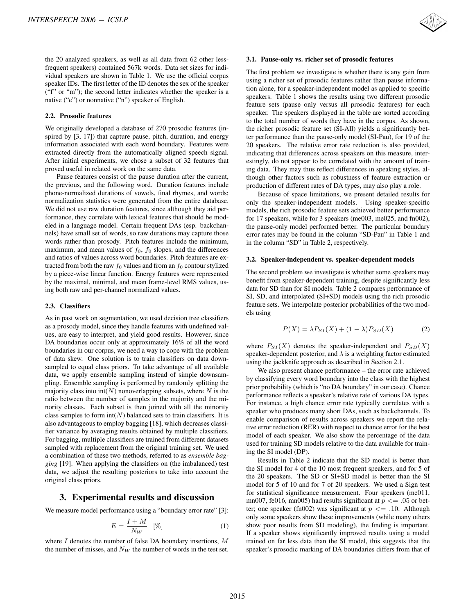the 20 analyzed speakers, as well as all data from 62 other lessfrequent speakers) contained 567k words. Data set sizes for individual speakers are shown in Table 1. We use the official corpus speaker IDs. The first letter of the ID denotes the sex of the speaker ("f" or "m"); the second letter indicates whether the speaker is a native ("e") or nonnative ("n") speaker of English.

#### **2.2. Prosodic features**

We originally developed a database of 270 prosodic features (inspired by [3, 17]) that capture pause, pitch, duration, and energy information associated with each word boundary. Features were extracted directly from the automatically aligned speech signal. After initial experiments, we chose a subset of 32 features that proved useful in related work on the same data.

Pause features consist of the pause duration after the current, the previous, and the following word. Duration features include phone-normalized durations of vowels, final rhymes, and words; normalization statistics were generated from the entire database. We did not use raw duration features, since although they aid performance, they correlate with lexical features that should be modeled in a language model. Certain frequent DAs (esp. backchannels) have small set of words, so raw durations may capture those words rather than prosody. Pitch features include the minimum, maximum, and mean values of  $f_0$ ,  $f_0$  slopes, and the differences and ratios of values across word boundaries. Pitch features are extracted from both the raw  $f_0$  values and from an  $f_0$  contour stylized by a piece-wise linear function. Energy features were represented by the maximal, minimal, and mean frame-level RMS values, using both raw and per-channel normalized values.

#### **2.3. Classifiers**

As in past work on segmentation, we used decision tree classifiers as a prosody model, since they handle features with undefined values, are easy to interpret, and yield good results. However, since DA boundaries occur only at approximately 16% of all the word boundaries in our corpus, we need a way to cope with the problem of data skew. One solution is to train classifiers on data downsampled to equal class priors. To take advantage of all available data, we apply ensemble sampling instead of simple downsampling. Ensemble sampling is performed by randomly splitting the majority class into  $\text{int}(N)$  nonoverlapping subsets, where N is the ratio between the number of samples in the majority and the minority classes. Each subset is then joined with all the minority class samples to form  $int(N)$  balanced sets to train classifiers. It is also advantageous to employ bagging [18], which decreases classifier variance by averaging results obtained by multiple classifiers. For bagging, multiple classifiers are trained from different datasets sampled with replacement from the original training set. We used a combination of these two methods, referred to as *ensemble bagging* [19]. When applying the classifiers on (the imbalanced) test data, we adjust the resulting posteriors to take into account the original class priors. INTERSPEECH 2006 - ICSLP<br>the 20 analyzed speakers, as well as all data from 62 other lest-<br>view all speakers are solven in Table 1. We use the official corpus<br>view all speakers are shown in Table 1. We use the official co

#### **3. Experimental results and discussion**

We measure model performance using a "boundary error rate" [3]:

$$
E = \frac{I + M}{N_W} \quad [%]
$$
 (1)

where  $I$  denotes the number of false DA boundary insertions,  $M$ the number of misses, and  $N_W$  the number of words in the test set.



#### **3.1. Pause-only vs. richer set of prosodic features**

The first problem we investigate is whether there is any gain from using a richer set of prosodic features rather than pause information alone, for a speaker-independent model as applied to specific speakers. Table 1 shows the results using two different prosodic feature sets (pause only versus all prosodic features) for each speaker. The speakers displayed in the table are sorted according to the total number of words they have in the corpus. As shown, the richer prosodic feature set (SI-All) yields a significantly better performance than the pause-only model (SI-Pau), for 19 of the 20 speakers. The relative error rate reduction is also provided, indicating that differences across speakers on this measure, interestingly, do not appear to be correlated with the amount of training data. They may thus reflect differences in speaking styles, although other factors such as robustness of feature extraction or production of different rates of DA types, may also play a role.

Because of space limitations, we present detailed results for only the speaker-independent models. Using speaker-specific models, the rich prosodic feature sets achieved better performance for 17 speakers, while for 3 speakers (me003, me025, and fn002), the pause-only model performed better. The particular boundary error rates may be found in the column "SD-Pau" in Table 1 and in the column "SD" in Table 2, respectively.

#### **3.2. Speaker-independent vs. speaker-dependent models**

The second problem we investigate is whether some speakers may benefit from speaker-dependent training, despite significantly less data for SD than for SI models. Table 2 compares performance of SI, SD, and interpolated (SI+SD) models using the rich prosodic feature sets. We interpolate posterior probabilities of the two models using

$$
P(X) = \lambda P_{SI}(X) + (1 - \lambda) P_{SD}(X)
$$
 (2)

where  $P_{SI}(X)$  denotes the speaker-independent and  $P_{SD}(X)$ speaker-dependent posterior, and  $\lambda$  is a weighting factor estimated using the jackknife approach as described in Section 2.1.

We also present chance performance – the error rate achieved by classifying every word boundary into the class with the highest prior probability (which is "no DA boundary" in our case). Chance performance reflects a speaker's relative rate of various DA types. For instance, a high chance error rate typically correlates with a speaker who produces many short DAs, such as backchannels. To enable comparison of results across speakers we report the relative error reduction (RER) with respect to chance error for the best model of each speaker. We also show the percentage of the data used for training SD models relative to the data available for training the SI model (DP).

Results in Table 2 indicate that the SD model is better than the SI model for 4 of the 10 most frequent speakers, and for 5 of the 20 speakers. The SD or SI+SD model is better than the SI model for 5 of 10 and for 7 of 20 speakers. We used a Sign test for statistical significance measurement. Four speakers (me011, mn007, fe016, mn005) had results significant at  $p \le 0.05$  or better; one speaker (fn002) was significant at  $p \leq 10$ . Although only some speakers show these improvements (while many others show poor results from SD modeling), the finding is important. If a speaker shows significantly improved results using a model trained on far less data than the SI model, this suggests that the speaker's prosodic marking of DA boundaries differs from that of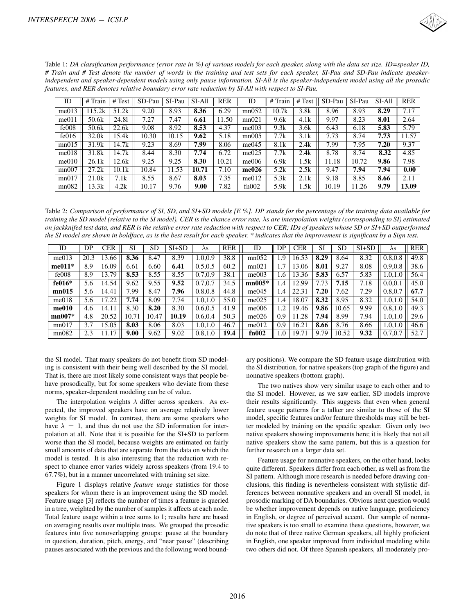

| Table 1: DA classification performance (error rate in %) of various models for each speaker, along with the data set size. ID=speaker ID, |
|-------------------------------------------------------------------------------------------------------------------------------------------|
| # Train and # Test denote the number of words in the training and test sets for each speaker, SI-Pau and SD-Pau indicate speaker-         |
| independent and speaker-dependent models using only pause information, SI-All is the speaker-independent model using all the prosodic     |
| features, and RER denotes relative boundary error rate reduction by SI-All with respect to SI-Pau.                                        |

| ID    | # Train           | # Test | SD-Pau | SI-Pau | SI-All | <b>RER</b> | ID    | #<br>Train | # Test | SD-Pau | SI-Pau | SI-All | <b>RER</b> |
|-------|-------------------|--------|--------|--------|--------|------------|-------|------------|--------|--------|--------|--------|------------|
| me013 | 15.2k             | 51.2k  | 9.20   | 8.93   | 8.36   | 6.29       | mn052 | 10.7k      | 3.8k   | 8.96   | 8.93   | 8.29   | 7.17       |
| me011 | 50.6k             | 24.81  | 7.27   | 7.47   | 6.61   | 11.50      | mn021 | 9.6k       | 4.1k   | 9.97   | 8.23   | 8.01   | 2.64       |
| fe008 | 50.6k             | 22.6k  | 9.08   | 8.92   | 8.53   | 4.37       | me003 | 9.3k       | 3.6k   | 6.43   | 6.18   | 5.83   | 5.79       |
| fe016 | 32.0k             | 15.4k  | 10.30  | 10.15  | 9.62   | 5.18       | mn005 | 7.7k       | 3.1k   | 7.73   | 8.74   | 7.73   | 11.57      |
| mn015 | 31.9k             | 14.7k  | 9.23   | 8.69   | 7.99   | 8.06       | me045 | 8.1k       | 2.4k   | 7.99   | 7.95   | 7.20   | 9.37       |
| me018 | 31.8k             | 14.7k  | 8.44   | 8.30   | 7.74   | 6.72       | me025 | 7.7k       | 2.4k   | 8.78   | 8.74   | 8.32   | 4.85       |
| me010 | 26.1k             | 12.6k  | 9.25   | 9.25   | 8.30   | 10.21      | me006 | 6.9k       | 1.5k   | 11.18  | 10.72  | 9.86   | 7.98       |
| mn007 | 27.2k             | 10.1k  | 10.84  | 1.53   | 10.71  | 7.10       | me026 | 5.2k       | 2.5k   | 9.47   | 7.94   | 7.94   | 0.00       |
| mn017 | 21.0 <sub>k</sub> | 7.1k   | 8.55   | 8.67   | 8.03   | 7.35       | me012 | 5.3k       | 2.1k   | 9.18   | 8.85   | 8.66   | 2.11       |
| mn082 | 13.3k             | 4.2k   | 10.17  | 9.76   | 9.00   | 7.82       | fn002 | 5.9k       | .5k    | 10.19  | 11.26  | 9.79   | 13.09      |

Table 2: *Comparison of performance of SI, SD, and SI+SD models [E %]. DP stands for the percentage of the training data available for training the SD model (relative to the SI model), CER is the chance error rate,* λ*s are interpolation weights (corresponding to SI) estimated on jackknifed test data, and RER is the relative error rate reduction with respect to CER; IDs of speakers whose SD or SI+SD outperformed the SI model are shown in boldface, as is the best result for each speaker, \* indicates that the improvement is significant by a Sign test.*

| independent and speaker-dependent models using only pause information, SI-All is the speaker-independent model using all the prosodio<br>features, and RER denotes relative boundary error rate reduction by SI-All with respect to SI-Pau.                                                                                                                                                                                                                                                                                                                                                                                                                                                                                                                                                                                                                                                                                                                                                                                                                                                                                                                                                                                                                               |            |                     |            |                   |                 |                                                                                                                                            |             | Table 1: DA classification performance (error rate in $\%$ ) of various models for each speaker, along with the data set size. ID=speaker ID<br># Train and # Test denote the number of words in the training and test sets for each speaker, SI-Pau and SD-Pau indicate speaker                                                                                                                                                                                                                                                                                                                                                                                                                                                                                                                                                                                                                                                                                                                                                                                                                                                                                                                                          |                   |                                                                                                                               |            |                   |                 |                         |                   |
|---------------------------------------------------------------------------------------------------------------------------------------------------------------------------------------------------------------------------------------------------------------------------------------------------------------------------------------------------------------------------------------------------------------------------------------------------------------------------------------------------------------------------------------------------------------------------------------------------------------------------------------------------------------------------------------------------------------------------------------------------------------------------------------------------------------------------------------------------------------------------------------------------------------------------------------------------------------------------------------------------------------------------------------------------------------------------------------------------------------------------------------------------------------------------------------------------------------------------------------------------------------------------|------------|---------------------|------------|-------------------|-----------------|--------------------------------------------------------------------------------------------------------------------------------------------|-------------|---------------------------------------------------------------------------------------------------------------------------------------------------------------------------------------------------------------------------------------------------------------------------------------------------------------------------------------------------------------------------------------------------------------------------------------------------------------------------------------------------------------------------------------------------------------------------------------------------------------------------------------------------------------------------------------------------------------------------------------------------------------------------------------------------------------------------------------------------------------------------------------------------------------------------------------------------------------------------------------------------------------------------------------------------------------------------------------------------------------------------------------------------------------------------------------------------------------------------|-------------------|-------------------------------------------------------------------------------------------------------------------------------|------------|-------------------|-----------------|-------------------------|-------------------|
| ID                                                                                                                                                                                                                                                                                                                                                                                                                                                                                                                                                                                                                                                                                                                                                                                                                                                                                                                                                                                                                                                                                                                                                                                                                                                                        | # Train    |                     | # Test     | SD-Pau            | SI-Pau          | $SI-All$                                                                                                                                   | <b>RER</b>  | ID                                                                                                                                                                                                                                                                                                                                                                                                                                                                                                                                                                                                                                                                                                                                                                                                                                                                                                                                                                                                                                                                                                                                                                                                                        | # Train           | #Test                                                                                                                         |            | SD-Pau            | SI-Pau          | SI-All                  | RER               |
| me013                                                                                                                                                                                                                                                                                                                                                                                                                                                                                                                                                                                                                                                                                                                                                                                                                                                                                                                                                                                                                                                                                                                                                                                                                                                                     | 115.2k     |                     | 51.2k      | 9.20              | 8.93            | 8.36                                                                                                                                       | 6.29        | mn052                                                                                                                                                                                                                                                                                                                                                                                                                                                                                                                                                                                                                                                                                                                                                                                                                                                                                                                                                                                                                                                                                                                                                                                                                     | 10.7k             | 3.8k                                                                                                                          |            | 8.96              | 8.93            | 8.29                    | 7.17              |
| me011                                                                                                                                                                                                                                                                                                                                                                                                                                                                                                                                                                                                                                                                                                                                                                                                                                                                                                                                                                                                                                                                                                                                                                                                                                                                     | 50.6k      |                     | 24.81      | 7.27              | 7.47            | 6.61                                                                                                                                       | 11.50       | mn021                                                                                                                                                                                                                                                                                                                                                                                                                                                                                                                                                                                                                                                                                                                                                                                                                                                                                                                                                                                                                                                                                                                                                                                                                     | 9.6k              | 4.1k                                                                                                                          |            | 9.97              | 8.23            | 8.01                    | 2.64              |
| fe008                                                                                                                                                                                                                                                                                                                                                                                                                                                                                                                                                                                                                                                                                                                                                                                                                                                                                                                                                                                                                                                                                                                                                                                                                                                                     | 50.6k      |                     | 22.6k      | 9.08              | 8.92            | 8.53                                                                                                                                       | 4.37        | me003                                                                                                                                                                                                                                                                                                                                                                                                                                                                                                                                                                                                                                                                                                                                                                                                                                                                                                                                                                                                                                                                                                                                                                                                                     | 9.3k              | $\overline{3.6k}$                                                                                                             |            | 6.43              | 6.18            | 5.83                    | 5.79              |
| fe016                                                                                                                                                                                                                                                                                                                                                                                                                                                                                                                                                                                                                                                                                                                                                                                                                                                                                                                                                                                                                                                                                                                                                                                                                                                                     | 32.0k      |                     | 15.4k      | 10.30             | 10.15           | 9.62                                                                                                                                       | 5.18        | mn005                                                                                                                                                                                                                                                                                                                                                                                                                                                                                                                                                                                                                                                                                                                                                                                                                                                                                                                                                                                                                                                                                                                                                                                                                     | 7.7k              | 3.1k                                                                                                                          |            | 7.73              | 8.74            | 7.73                    | 11.57             |
| mn015                                                                                                                                                                                                                                                                                                                                                                                                                                                                                                                                                                                                                                                                                                                                                                                                                                                                                                                                                                                                                                                                                                                                                                                                                                                                     | 31.9k      |                     | 14.7k      | 9.23              | 8.69            | 7.99                                                                                                                                       | 8.06        | me045                                                                                                                                                                                                                                                                                                                                                                                                                                                                                                                                                                                                                                                                                                                                                                                                                                                                                                                                                                                                                                                                                                                                                                                                                     | 8.1k              | 2.4k                                                                                                                          |            | 7.99              | 7.95            | 7.20                    | 9.37              |
| me018                                                                                                                                                                                                                                                                                                                                                                                                                                                                                                                                                                                                                                                                                                                                                                                                                                                                                                                                                                                                                                                                                                                                                                                                                                                                     | 31.8k      |                     | 14.7k      | 8.44              | 8.30            | 7.74                                                                                                                                       | 6.72        | me025                                                                                                                                                                                                                                                                                                                                                                                                                                                                                                                                                                                                                                                                                                                                                                                                                                                                                                                                                                                                                                                                                                                                                                                                                     | 7.7k              | 2.4k                                                                                                                          |            | 8.78              | 8.74            | 8.32                    | 4.85              |
| me010                                                                                                                                                                                                                                                                                                                                                                                                                                                                                                                                                                                                                                                                                                                                                                                                                                                                                                                                                                                                                                                                                                                                                                                                                                                                     | 26.1k      |                     | 12.6k      | 9.25              | 9.25            | 8.30                                                                                                                                       | 10.21       | me006                                                                                                                                                                                                                                                                                                                                                                                                                                                                                                                                                                                                                                                                                                                                                                                                                                                                                                                                                                                                                                                                                                                                                                                                                     | 6.9k              | 1.5k                                                                                                                          |            | 11.18             | 10.72           | 9.86                    | 7.98              |
| mn007                                                                                                                                                                                                                                                                                                                                                                                                                                                                                                                                                                                                                                                                                                                                                                                                                                                                                                                                                                                                                                                                                                                                                                                                                                                                     | 27.2k      |                     | 10.1k      | 10.84             | 11.53           | 10.71                                                                                                                                      | 7.10        | me026                                                                                                                                                                                                                                                                                                                                                                                                                                                                                                                                                                                                                                                                                                                                                                                                                                                                                                                                                                                                                                                                                                                                                                                                                     | 5.2k              | 2.5k                                                                                                                          |            | 9.47              | 7.94            | 7.94                    | $\overline{0.00}$ |
| mn017                                                                                                                                                                                                                                                                                                                                                                                                                                                                                                                                                                                                                                                                                                                                                                                                                                                                                                                                                                                                                                                                                                                                                                                                                                                                     | 21.0k      |                     | 7.1k       | 8.55              | 8.67            | 8.03                                                                                                                                       | 7.35        | me012                                                                                                                                                                                                                                                                                                                                                                                                                                                                                                                                                                                                                                                                                                                                                                                                                                                                                                                                                                                                                                                                                                                                                                                                                     | 5.3k              | 2.1k                                                                                                                          |            | 9.18              | 8.85            | 8.66                    | 2.11              |
| mn082                                                                                                                                                                                                                                                                                                                                                                                                                                                                                                                                                                                                                                                                                                                                                                                                                                                                                                                                                                                                                                                                                                                                                                                                                                                                     | 13.3k      |                     | 4.2k       | 10.17             | 9.76            | 9.00                                                                                                                                       | 7.82        | fn002                                                                                                                                                                                                                                                                                                                                                                                                                                                                                                                                                                                                                                                                                                                                                                                                                                                                                                                                                                                                                                                                                                                                                                                                                     | $\overline{5.9k}$ | 1.5k                                                                                                                          |            | 10.19             | 11.26           | 9.79                    | 13.09             |
| ID<br>me013                                                                                                                                                                                                                                                                                                                                                                                                                                                                                                                                                                                                                                                                                                                                                                                                                                                                                                                                                                                                                                                                                                                                                                                                                                                               | DP<br>20.3 | <b>CER</b><br>13.66 | SI<br>8.36 | <b>SD</b><br>8.47 | $SI+SD$<br>8.39 | $\lambda$ s<br>1.0,0.9                                                                                                                     | RER<br>38.8 | ID<br>mn052                                                                                                                                                                                                                                                                                                                                                                                                                                                                                                                                                                                                                                                                                                                                                                                                                                                                                                                                                                                                                                                                                                                                                                                                               | DP<br>1.9         | <b>CER</b><br>16.53                                                                                                           | SI<br>8.29 | <b>SD</b><br>8.64 | $SI+SD$<br>8.32 | $\lambda$ s<br>0.8, 0.8 | RER<br>49.8       |
| $me011*$                                                                                                                                                                                                                                                                                                                                                                                                                                                                                                                                                                                                                                                                                                                                                                                                                                                                                                                                                                                                                                                                                                                                                                                                                                                                  | 8.9        | 16.09               | 6.61       | 6.60              | 6.41            | 0.5, 0.5                                                                                                                                   | 60.2        | mn021                                                                                                                                                                                                                                                                                                                                                                                                                                                                                                                                                                                                                                                                                                                                                                                                                                                                                                                                                                                                                                                                                                                                                                                                                     | 1.7               | 13.06                                                                                                                         | 8.01       | 9.27              | 8.08            | 0.9, 0.8                | 38.6              |
| fe008                                                                                                                                                                                                                                                                                                                                                                                                                                                                                                                                                                                                                                                                                                                                                                                                                                                                                                                                                                                                                                                                                                                                                                                                                                                                     | 8.9        | 13.79               | 8.53       | 8.55              | 8.55            | 0.7, 0.9                                                                                                                                   | 38.1        | me003                                                                                                                                                                                                                                                                                                                                                                                                                                                                                                                                                                                                                                                                                                                                                                                                                                                                                                                                                                                                                                                                                                                                                                                                                     | 1.6               | 13.36                                                                                                                         | 5.83       | 6.57              | 5.83            | 1.0, 1.0                | 56.4              |
| $fe016*$                                                                                                                                                                                                                                                                                                                                                                                                                                                                                                                                                                                                                                                                                                                                                                                                                                                                                                                                                                                                                                                                                                                                                                                                                                                                  | 5.6        | 14.54               | 9.62       | 9.55              | 9.52            | 0.7, 0.7                                                                                                                                   | 34.5        | $mn005*$                                                                                                                                                                                                                                                                                                                                                                                                                                                                                                                                                                                                                                                                                                                                                                                                                                                                                                                                                                                                                                                                                                                                                                                                                  | 1.4               | 12.99                                                                                                                         | 7.73       | 7.15              | 7.18            | 0.0, 0.1                | 45.0              |
| mn015                                                                                                                                                                                                                                                                                                                                                                                                                                                                                                                                                                                                                                                                                                                                                                                                                                                                                                                                                                                                                                                                                                                                                                                                                                                                     | 5.6        | 14.41               | 7.99       | 8.47              | 7.96            | 0.8, 0.8                                                                                                                                   | 44.8        | me045                                                                                                                                                                                                                                                                                                                                                                                                                                                                                                                                                                                                                                                                                                                                                                                                                                                                                                                                                                                                                                                                                                                                                                                                                     | 1.4               | 22.31                                                                                                                         | 7.20       | 7.62              | 7.29            | 0.8, 0.7                | 67.7              |
| me018                                                                                                                                                                                                                                                                                                                                                                                                                                                                                                                                                                                                                                                                                                                                                                                                                                                                                                                                                                                                                                                                                                                                                                                                                                                                     | 5.6        | 17.22               | 7.74       | 8.09              | 7.74            | 1.0, 1.0                                                                                                                                   | 55.0        | me025                                                                                                                                                                                                                                                                                                                                                                                                                                                                                                                                                                                                                                                                                                                                                                                                                                                                                                                                                                                                                                                                                                                                                                                                                     | 1.4               | 18.07                                                                                                                         | 8.32       | 8.95              | 8.32            | 1.0, 1.0                | 54.0              |
| me010                                                                                                                                                                                                                                                                                                                                                                                                                                                                                                                                                                                                                                                                                                                                                                                                                                                                                                                                                                                                                                                                                                                                                                                                                                                                     | 4.6        | 14.11               | 8.30       | 8.20              | 8.30            | 0.6, 0.5                                                                                                                                   | 41.9        | me006                                                                                                                                                                                                                                                                                                                                                                                                                                                                                                                                                                                                                                                                                                                                                                                                                                                                                                                                                                                                                                                                                                                                                                                                                     | 1.2               | 19.46                                                                                                                         | 9.86       | 10.65             | 9.99            | 0.8, 1.0                | 49.3              |
| $\overline{\mathrm{mn007^*}}$                                                                                                                                                                                                                                                                                                                                                                                                                                                                                                                                                                                                                                                                                                                                                                                                                                                                                                                                                                                                                                                                                                                                                                                                                                             | 4.8        | 20.52               | 10.71      | 10.47             | 10.19           | 0.6, 0.4                                                                                                                                   | 50.3        | me026                                                                                                                                                                                                                                                                                                                                                                                                                                                                                                                                                                                                                                                                                                                                                                                                                                                                                                                                                                                                                                                                                                                                                                                                                     | 0.9               | 11.28                                                                                                                         | 7.94       | 8.99              | 7.94            | 1.0, 1.0                | 29.6              |
| mn017                                                                                                                                                                                                                                                                                                                                                                                                                                                                                                                                                                                                                                                                                                                                                                                                                                                                                                                                                                                                                                                                                                                                                                                                                                                                     | 3.7        | 15.05               | 8.03       | 8.06              | 8.03            | 1.0, 1.0                                                                                                                                   | 46.7        | me012                                                                                                                                                                                                                                                                                                                                                                                                                                                                                                                                                                                                                                                                                                                                                                                                                                                                                                                                                                                                                                                                                                                                                                                                                     | $\overline{0.9}$  | 16.21                                                                                                                         | 8.66       | 8.76              | 8.66            | 1.0, 1.0                | 46.6              |
| mn082                                                                                                                                                                                                                                                                                                                                                                                                                                                                                                                                                                                                                                                                                                                                                                                                                                                                                                                                                                                                                                                                                                                                                                                                                                                                     | 2.3        | 11.17               | 9.00       | 9.62              | 9.02            | 0.8, 1.0                                                                                                                                   | 19.4        | fn002                                                                                                                                                                                                                                                                                                                                                                                                                                                                                                                                                                                                                                                                                                                                                                                                                                                                                                                                                                                                                                                                                                                                                                                                                     | 1.0               | 19.71                                                                                                                         | 9.79       | 10.52             | 9.32            | 0.7,0.7                 | 52.7              |
|                                                                                                                                                                                                                                                                                                                                                                                                                                                                                                                                                                                                                                                                                                                                                                                                                                                                                                                                                                                                                                                                                                                                                                                                                                                                           |            |                     |            |                   |                 |                                                                                                                                            |             | ary positions). We compare the SD feature usage distribution with                                                                                                                                                                                                                                                                                                                                                                                                                                                                                                                                                                                                                                                                                                                                                                                                                                                                                                                                                                                                                                                                                                                                                         |                   |                                                                                                                               |            |                   |                 |                         |                   |
| ing is consistent with their being well described by the SI model.<br>That is, there are most likely some consistent ways that people be-<br>have prosodically, but for some speakers who deviate from these<br>norms, speaker-dependent modeling can be of value.<br>pected, the improved speakers have on average relatively lower<br>weights for SI model. In contrast, there are some speakers who<br>have $\lambda = 1$ , and thus do not use the SD information for inter-<br>polation at all. Note that it is possible for the SI+SD to perform<br>worse than the SI model, because weights are estimated on fairly<br>small amounts of data that are separate from the data on which the<br>model is tested. It is also interesting that the reduction with re-<br>spect to chance error varies widely across speakers (from 19.4 to<br>67.7%), but in a manner uncorrelated with training set size.<br>speakers for whom there is an improvement using the SD model.<br>Feature usage [3] reflects the number of times a feature is queried<br>in a tree, weighted by the number of samples it affects at each node.<br>Total feature usage within a tree sums to 1; results here are based<br>on averaging results over multiple trees. We grouped the prosodic |            |                     |            |                   |                 | The interpolation weights $\lambda$ differ across speakers. As ex-<br>Figure 1 displays relative <i>feature usage</i> statistics for those |             | the SI distribution, for native speakers (top graph of the figure) and<br>nonnative speakers (bottom graph).<br>the SI model. However, as we saw earlier, SD models improve<br>their results significantly. This suggests that even when general<br>feature usage patterns for a talker are similar to those of the S<br>model, specific features and/or feature thresholds may still be bet<br>ter modeled by training on the specific speaker. Given only two<br>native speakers showing improvements here; it is likely that not all<br>native speakers show the same pattern, but this is a question for<br>further research on a larger data set.<br>quite different. Speakers differ from each other, as well as from the<br>SI pattern. Although more research is needed before drawing con<br>clusions, this finding is nevertheless consistent with stylistic dif<br>ferences between nonnative speakers and an overall SI model, in<br>prosodic marking of DA boundaries. Obvious next question would<br>be whether improvement depends on native language, proficiency<br>in English, or degree of perceived accent. Our sample of nonna<br>tive speakers is too small to examine these questions, however, we |                   | The two natives show very similar usage to each other and to<br>Feature usage for nonnative speakers, on the other hand, look |            |                   |                 |                         |                   |